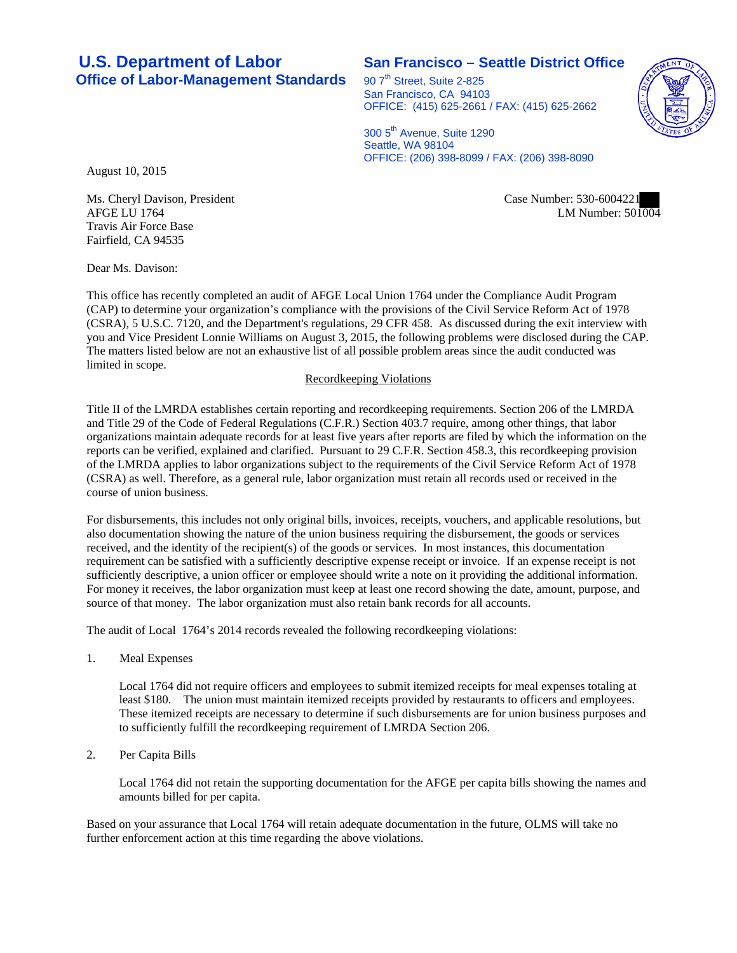# **U.S. Department of Labor San Francisco – Seattle District Office Office of Labor-Management Standards** 90 7<sup>th</sup> Street, Suite 2-825

San Francisco, CA 94103 OFFICE: (415) 625-2661 / FAX: (415) 625-2662

300 5<sup>th</sup> Avenue, Suite 1290 Seattle, WA 98104 OFFICE: (206) 398-8099 / FAX: (206) 398-8090

August 10, 2015

Case Number: 530-6004221 LM Number: 501004

Ms. Cheryl Davison, President AFGE LU 1764 Travis Air Force Base Fairfield, CA 94535

Dear Ms. Davison:

This office has recently completed an audit of AFGE Local Union 1764 under the Compliance Audit Program (CAP) to determine your organization's compliance with the provisions of the Civil Service Reform Act of 1978 (CSRA), 5 U.S.C. 7120, and the Department's regulations, 29 CFR 458. As discussed during the exit interview with you and Vice President Lonnie Williams on August 3, 2015, the following problems were disclosed during the CAP. The matters listed below are not an exhaustive list of all possible problem areas since the audit conducted was limited in scope.

### Recordkeeping Violations

Title II of the LMRDA establishes certain reporting and recordkeeping requirements. Section 206 of the LMRDA and Title 29 of the Code of Federal Regulations (C.F.R.) Section 403.7 require, among other things, that labor organizations maintain adequate records for at least five years after reports are filed by which the information on the reports can be verified, explained and clarified. Pursuant to 29 C.F.R. Section 458.3, this recordkeeping provision of the LMRDA applies to labor organizations subject to the requirements of the Civil Service Reform Act of 1978 (CSRA) as well. Therefore, as a general rule, labor organization must retain all records used or received in the course of union business.

For disbursements, this includes not only original bills, invoices, receipts, vouchers, and applicable resolutions, but also documentation showing the nature of the union business requiring the disbursement, the goods or services received, and the identity of the recipient(s) of the goods or services. In most instances, this documentation requirement can be satisfied with a sufficiently descriptive expense receipt or invoice. If an expense receipt is not sufficiently descriptive, a union officer or employee should write a note on it providing the additional information. For money it receives, the labor organization must keep at least one record showing the date, amount, purpose, and source of that money. The labor organization must also retain bank records for all accounts.

The audit of Local 1764's 2014 records revealed the following recordkeeping violations:

1. Meal Expenses

Local 1764 did not require officers and employees to submit itemized receipts for meal expenses totaling at least \$180. The union must maintain itemized receipts provided by restaurants to officers and employees. These itemized receipts are necessary to determine if such disbursements are for union business purposes and to sufficiently fulfill the recordkeeping requirement of LMRDA Section 206.

2. Per Capita Bills

Local 1764 did not retain the supporting documentation for the AFGE per capita bills showing the names and amounts billed for per capita.

Based on your assurance that Local 1764 will retain adequate documentation in the future, OLMS will take no further enforcement action at this time regarding the above violations.

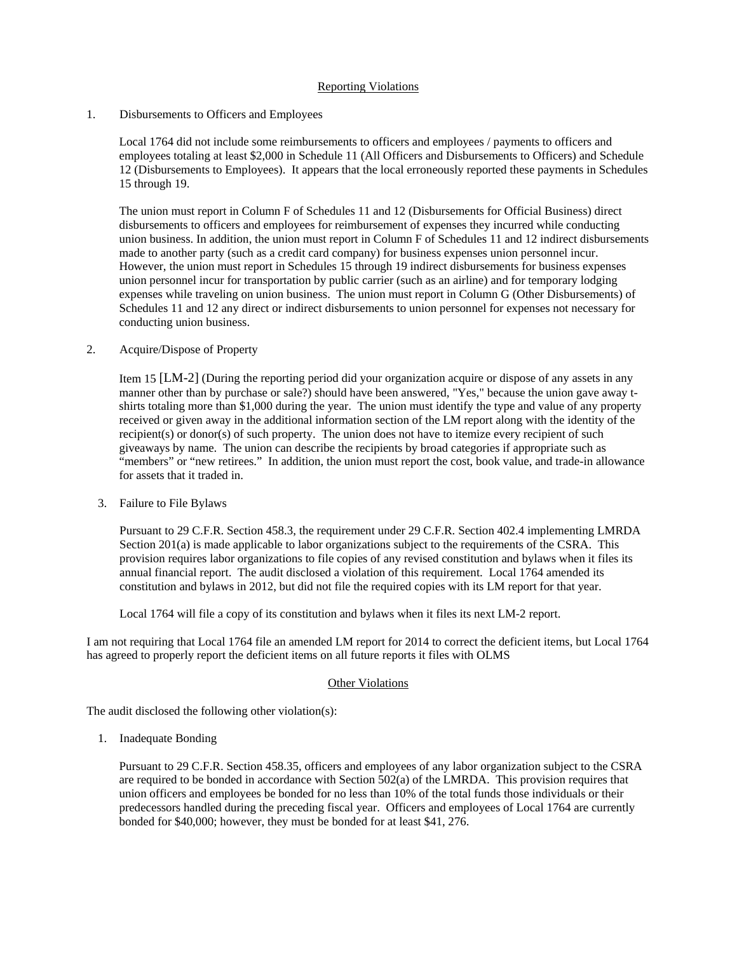# Reporting Violations

#### 1. Disbursements to Officers and Employees

Local 1764 did not include some reimbursements to officers and employees / payments to officers and employees totaling at least \$2,000 in Schedule 11 (All Officers and Disbursements to Officers) and Schedule 12 (Disbursements to Employees). It appears that the local erroneously reported these payments in Schedules 15 through 19.

The union must report in Column F of Schedules 11 and 12 (Disbursements for Official Business) direct disbursements to officers and employees for reimbursement of expenses they incurred while conducting union business. In addition, the union must report in Column F of Schedules 11 and 12 indirect disbursements made to another party (such as a credit card company) for business expenses union personnel incur. However, the union must report in Schedules 15 through 19 indirect disbursements for business expenses union personnel incur for transportation by public carrier (such as an airline) and for temporary lodging expenses while traveling on union business. The union must report in Column G (Other Disbursements) of Schedules 11 and 12 any direct or indirect disbursements to union personnel for expenses not necessary for conducting union business.

#### 2. Acquire/Dispose of Property

Item 15 [LM-2] (During the reporting period did your organization acquire or dispose of any assets in any manner other than by purchase or sale?) should have been answered, "Yes," because the union gave away tshirts totaling more than \$1,000 during the year. The union must identify the type and value of any property received or given away in the additional information section of the LM report along with the identity of the recipient(s) or donor(s) of such property. The union does not have to itemize every recipient of such giveaways by name. The union can describe the recipients by broad categories if appropriate such as "members" or "new retirees." In addition, the union must report the cost, book value, and trade-in allowance for assets that it traded in.

3. Failure to File Bylaws

Pursuant to 29 C.F.R. Section 458.3, the requirement under 29 C.F.R. Section 402.4 implementing LMRDA Section 201(a) is made applicable to labor organizations subject to the requirements of the CSRA. This provision requires labor organizations to file copies of any revised constitution and bylaws when it files its annual financial report. The audit disclosed a violation of this requirement. Local 1764 amended its constitution and bylaws in 2012, but did not file the required copies with its LM report for that year.

Local 1764 will file a copy of its constitution and bylaws when it files its next LM-2 report.

I am not requiring that Local 1764 file an amended LM report for 2014 to correct the deficient items, but Local 1764 has agreed to properly report the deficient items on all future reports it files with OLMS

#### Other Violations

The audit disclosed the following other violation(s):

1. Inadequate Bonding

Pursuant to 29 C.F.R. Section 458.35, officers and employees of any labor organization subject to the CSRA are required to be bonded in accordance with Section 502(a) of the LMRDA. This provision requires that union officers and employees be bonded for no less than 10% of the total funds those individuals or their predecessors handled during the preceding fiscal year. Officers and employees of Local 1764 are currently bonded for \$40,000; however, they must be bonded for at least \$41, 276.